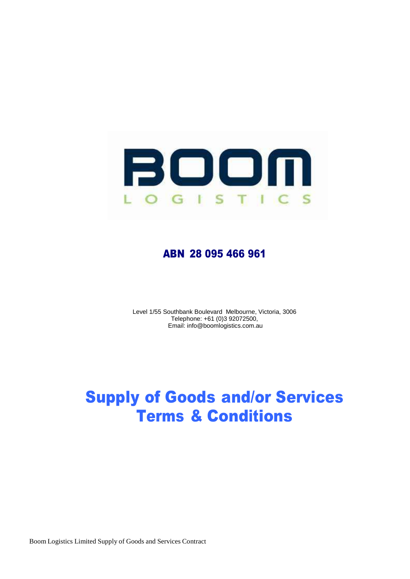

## ABN 28 095 466 961

Level 1/55 Southbank Boulevard Melbourne, Victoria, 3006 Telephone: +61 (0)3 92072500, Email: info@boomlogistics.com.au

## Supply of Goods and/or Services Terms & Conditions

Boom Logistics Limited Supply of Goods and Services Contract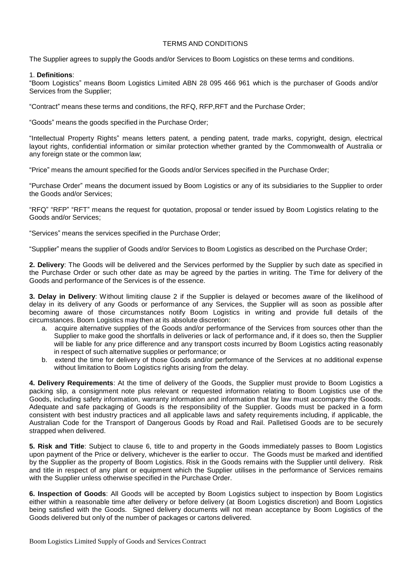## TERMS AND CONDITIONS

The Supplier agrees to supply the Goods and/or Services to Boom Logistics on these terms and conditions.

## 1. **Definitions**:

"Boom Logistics" means Boom Logistics Limited ABN 28 095 466 961 which is the purchaser of Goods and/or Services from the Supplier;

"Contract" means these terms and conditions, the RFQ, RFP,RFT and the Purchase Order;

"Goods" means the goods specified in the Purchase Order;

"Intellectual Property Rights" means letters patent, a pending patent, trade marks, copyright, design, electrical layout rights, confidential information or similar protection whether granted by the Commonwealth of Australia or any foreign state or the common law;

"Price" means the amount specified for the Goods and/or Services specified in the Purchase Order;

"Purchase Order" means the document issued by Boom Logistics or any of its subsidiaries to the Supplier to order the Goods and/or Services;

"RFQ" "RFP" "RFT" means the request for quotation, proposal or tender issued by Boom Logistics relating to the Goods and/or Services;

"Services" means the services specified in the Purchase Order;

"Supplier" means the supplier of Goods and/or Services to Boom Logistics as described on the Purchase Order;

**2. Delivery**: The Goods will be delivered and the Services performed by the Supplier by such date as specified in the Purchase Order or such other date as may be agreed by the parties in writing. The Time for delivery of the Goods and performance of the Services is of the essence.

**3. Delay in Delivery**: Without limiting clause 2 if the Supplier is delayed or becomes aware of the likelihood of delay in its delivery of any Goods or performance of any Services, the Supplier will as soon as possible after becoming aware of those circumstances notify Boom Logistics in writing and provide full details of the circumstances. Boom Logistics may then at its absolute discretion:

- a. acquire alternative supplies of the Goods and/or performance of the Services from sources other than the Supplier to make good the shortfalls in deliveries or lack of performance and, if it does so, then the Supplier will be liable for any price difference and any transport costs incurred by Boom Logistics acting reasonably in respect of such alternative supplies or performance; or
- b. extend the time for delivery of those Goods and/or performance of the Services at no additional expense without limitation to Boom Logistics rights arising from the delay.

**4. Delivery Requirements**: At the time of delivery of the Goods, the Supplier must provide to Boom Logistics a packing slip, a consignment note plus relevant or requested information relating to Boom Logistics use of the Goods, including safety information, warranty information and information that by law must accompany the Goods. Adequate and safe packaging of Goods is the responsibility of the Supplier. Goods must be packed in a form consistent with best industry practices and all applicable laws and safety requirements including, if applicable, the Australian Code for the Transport of Dangerous Goods by Road and Rail. Palletised Goods are to be securely strapped when delivered.

**5. Risk and Title**: Subject to clause 6, title to and property in the Goods immediately passes to Boom Logistics upon payment of the Price or delivery, whichever is the earlier to occur. The Goods must be marked and identified by the Supplier as the property of Boom Logistics. Risk in the Goods remains with the Supplier until delivery. Risk and title in respect of any plant or equipment which the Supplier utilises in the performance of Services remains with the Supplier unless otherwise specified in the Purchase Order.

**6. Inspection of Goods**: All Goods will be accepted by Boom Logistics subject to inspection by Boom Logistics either within a reasonable time after delivery or before delivery (at Boom Logistics discretion) and Boom Logistics being satisfied with the Goods. Signed delivery documents will not mean acceptance by Boom Logistics of the Goods delivered but only of the number of packages or cartons delivered.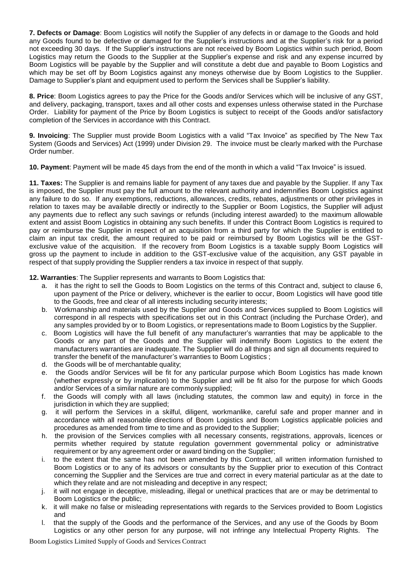**7. Defects or Damage**: Boom Logistics will notify the Supplier of any defects in or damage to the Goods and hold any Goods found to be defective or damaged for the Supplier's instructions and at the Supplier's risk for a period not exceeding 30 days. If the Supplier's instructions are not received by Boom Logistics within such period, Boom Logistics may return the Goods to the Supplier at the Supplier's expense and risk and any expense incurred by Boom Logistics will be payable by the Supplier and will constitute a debt due and payable to Boom Logistics and which may be set off by Boom Logistics against any moneys otherwise due by Boom Logistics to the Supplier. Damage to Supplier's plant and equipment used to perform the Services shall be Supplier's liability.

**8. Price**: Boom Logistics agrees to pay the Price for the Goods and/or Services which will be inclusive of any GST, and delivery, packaging, transport, taxes and all other costs and expenses unless otherwise stated in the Purchase Order. Liability for payment of the Price by Boom Logistics is subject to receipt of the Goods and/or satisfactory completion of the Services in accordance with this Contract.

**9. Invoicing**: The Supplier must provide Boom Logistics with a valid "Tax Invoice" as specified by The New Tax System (Goods and Services) Act (1999) under Division 29. The invoice must be clearly marked with the Purchase Order number.

**10. Payment**: Payment will be made 45 days from the end of the month in which a valid "Tax Invoice" is issued.

**11. Taxes:** The Supplier is and remains liable for payment of any taxes due and payable by the Supplier. If any Tax is imposed, the Supplier must pay the full amount to the relevant authority and indemnifies Boom Logistics against any failure to do so. If any exemptions, reductions, allowances, credits, rebates, adjustments or other privileges in relation to taxes may be available directly or indirectly to the Supplier or Boom Logistics, the Supplier will adjust any payments due to reflect any such savings or refunds (including interest awarded) to the maximum allowable extent and assist Boom Logistics in obtaining any such benefits. If under this Contract Boom Logistics is required to pay or reimburse the Supplier in respect of an acquisition from a third party for which the Supplier is entitled to claim an input tax credit, the amount required to be paid or reimbursed by Boom Logistics will be the GSTexclusive value of the acquisition. If the recovery from Boom Logistics is a taxable supply Boom Logistics will gross up the payment to include in addition to the GST-exclusive value of the acquisition, any GST payable in respect of that supply providing the Supplier renders a tax invoice in respect of that supply.

**12. Warranties**: The Supplier represents and warrants to Boom Logistics that:

- a. it has the right to sell the Goods to Boom Logistics on the terms of this Contract and, subject to clause 6, upon payment of the Price or delivery, whichever is the earlier to occur, Boom Logistics will have good title to the Goods, free and clear of all interests including security interests;
- b. Workmanship and materials used by the Supplier and Goods and Services supplied to Boom Logistics will correspond in all respects with specifications set out in this Contract (including the Purchase Order), and any samples provided by or to Boom Logistics, or representations made to Boom Logistics by the Supplier.
- c. Boom Logistics will have the full benefit of any manufacturer's warranties that may be applicable to the Goods or any part of the Goods and the Supplier will indemnify Boom Logistics to the extent the manufacturers warranties are inadequate. The Supplier will do all things and sign all documents required to transfer the benefit of the manufacturer's warranties to Boom Logistics ;
- d. the Goods will be of merchantable quality;
- e. the Goods and/or Services will be fit for any particular purpose which Boom Logistics has made known (whether expressly or by implication) to the Supplier and will be fit also for the purpose for which Goods and/or Services of a similar nature are commonly supplied;
- f. the Goods will comply with all laws (including statutes, the common law and equity) in force in the jurisdiction in which they are supplied;
- g. it will perform the Services in a skilful, diligent, workmanlike, careful safe and proper manner and in accordance with all reasonable directions of Boom Logistics and Boom Logistics applicable policies and procedures as amended from time to time and as provided to the Supplier;
- h. the provision of the Services complies with all necessary consents, registrations, approvals, licences or permits whether required by statute regulation government governmental policy or administrative requirement or by any agreement order or award binding on the Supplier;
- i. to the extent that the same has not been amended by this Contract, all written information furnished to Boom Logistics or to any of its advisors or consultants by the Supplier prior to execution of this Contract concerning the Supplier and the Services are true and correct in every material particular as at the date to which they relate and are not misleading and deceptive in any respect;
- j. it will not engage in deceptive, misleading, illegal or unethical practices that are or may be detrimental to Boom Logistics or the public;
- k. it will make no false or misleading representations with regards to the Services provided to Boom Logistics and
- l. that the supply of the Goods and the performance of the Services, and any use of the Goods by Boom Logistics or any other person for any purpose, will not infringe any Intellectual Property Rights. The

Boom Logistics Limited Supply of Goods and Services Contract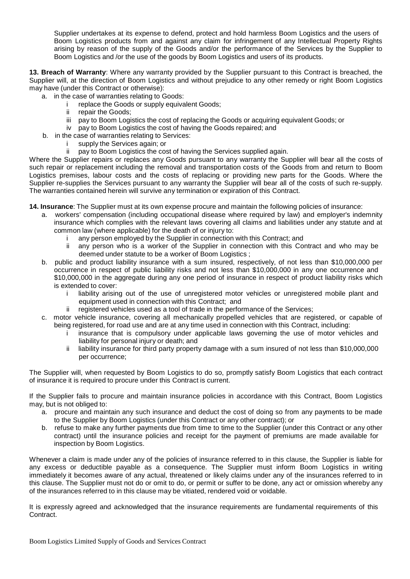Supplier undertakes at its expense to defend, protect and hold harmless Boom Logistics and the users of Boom Logistics products from and against any claim for infringement of any Intellectual Property Rights arising by reason of the supply of the Goods and/or the performance of the Services by the Supplier to Boom Logistics and /or the use of the goods by Boom Logistics and users of its products.

**13. Breach of Warranty**: Where any warranty provided by the Supplier pursuant to this Contract is breached, the Supplier will, at the direction of Boom Logistics and without prejudice to any other remedy or right Boom Logistics may have (under this Contract or otherwise):

- a. in the case of warranties relating to Goods:
	- i replace the Goods or supply equivalent Goods;<br>ii repair the Goods:
	- repair the Goods:
	- iii pay to Boom Logistics the cost of replacing the Goods or acquiring equivalent Goods; or
	- iv pay to Boom Logistics the cost of having the Goods repaired; and
- b. in the case of warranties relating to Services:
	- i supply the Services again; or
	- ii pay to Boom Logistics the cost of having the Services supplied again.

Where the Supplier repairs or replaces any Goods pursuant to any warranty the Supplier will bear all the costs of such repair or replacement including the removal and transportation costs of the Goods from and return to Boom Logistics premises, labour costs and the costs of replacing or providing new parts for the Goods. Where the Supplier re-supplies the Services pursuant to any warranty the Supplier will bear all of the costs of such re-supply. The warranties contained herein will survive any termination or expiration of this Contract.

**14. Insurance**: The Supplier must at its own expense procure and maintain the following policies of insurance:

- a. workers' compensation (including occupational disease where required by law) and employer's indemnity insurance which complies with the relevant laws covering all claims and liabilities under any statute and at common law (where applicable) for the death of or injury to:
	- any person employed by the Supplier in connection with this Contract; and
	- ii any person who is a worker of the Supplier in connection with this Contract and who may be deemed under statute to be a worker of Boom Logistics ;
- b. public and product liability insurance with a sum insured, respectively, of not less than \$10,000,000 per occurrence in respect of public liability risks and not less than \$10,000,000 in any one occurrence and \$10,000,000 in the aggregate during any one period of insurance in respect of product liability risks which is extended to cover:
	- i liability arising out of the use of unregistered motor vehicles or unregistered mobile plant and equipment used in connection with this Contract; and
	- ii registered vehicles used as a tool of trade in the performance of the Services;
- c. motor vehicle insurance, covering all mechanically propelled vehicles that are registered, or capable of being registered, for road use and are at any time used in connection with this Contract, including:
	- i insurance that is compulsory under applicable laws governing the use of motor vehicles and liability for personal injury or death; and
	- ii liability insurance for third party property damage with a sum insured of not less than \$10,000,000 per occurrence;

The Supplier will, when requested by Boom Logistics to do so, promptly satisfy Boom Logistics that each contract of insurance it is required to procure under this Contract is current.

If the Supplier fails to procure and maintain insurance policies in accordance with this Contract, Boom Logistics may, but is not obliged to:

- a. procure and maintain any such insurance and deduct the cost of doing so from any payments to be made to the Supplier by Boom Logistics (under this Contract or any other contract); or
- b. refuse to make any further payments due from time to time to the Supplier (under this Contract or any other contract) until the insurance policies and receipt for the payment of premiums are made available for inspection by Boom Logistics.

Whenever a claim is made under any of the policies of insurance referred to in this clause, the Supplier is liable for any excess or deductible payable as a consequence. The Supplier must inform Boom Logistics in writing immediately it becomes aware of any actual, threatened or likely claims under any of the insurances referred to in this clause. The Supplier must not do or omit to do, or permit or suffer to be done, any act or omission whereby any of the insurances referred to in this clause may be vitiated, rendered void or voidable.

It is expressly agreed and acknowledged that the insurance requirements are fundamental requirements of this Contract.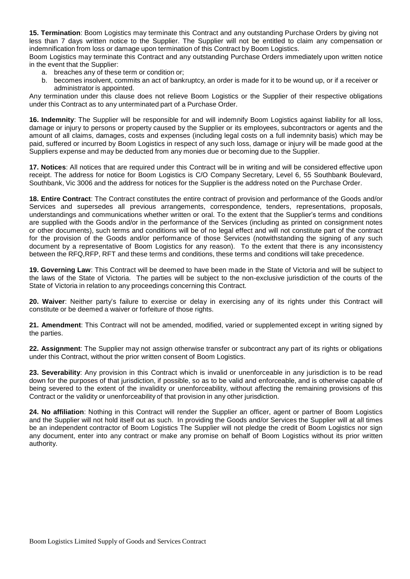**15. Termination**: Boom Logistics may terminate this Contract and any outstanding Purchase Orders by giving not less than 7 days written notice to the Supplier. The Supplier will not be entitled to claim any compensation or indemnification from loss or damage upon termination of this Contract by Boom Logistics.

Boom Logistics may terminate this Contract and any outstanding Purchase Orders immediately upon written notice in the event that the Supplier:

- a. breaches any of these term or condition or;
- b. becomes insolvent, commits an act of bankruptcy, an order is made for it to be wound up, or if a receiver or administrator is appointed.

Any termination under this clause does not relieve Boom Logistics or the Supplier of their respective obligations under this Contract as to any unterminated part of a Purchase Order.

**16. Indemnity**: The Supplier will be responsible for and will indemnify Boom Logistics against liability for all loss, damage or injury to persons or property caused by the Supplier or its employees, subcontractors or agents and the amount of all claims, damages, costs and expenses (including legal costs on a full indemnity basis) which may be paid, suffered or incurred by Boom Logistics in respect of any such loss, damage or injury will be made good at the Suppliers expense and may be deducted from any monies due or becoming due to the Supplier.

**17. Notices**: All notices that are required under this Contract will be in writing and will be considered effective upon receipt. The address for notice for Boom Logistics is C/O Company Secretary, Level 6, 55 Southbank Boulevard, Southbank, Vic 3006 and the address for notices for the Supplier is the address noted on the Purchase Order.

**18. Entire Contract**: The Contract constitutes the entire contract of provision and performance of the Goods and/or Services and supersedes all previous arrangements, correspondence, tenders, representations, proposals, understandings and communications whether written or oral. To the extent that the Supplier's terms and conditions are supplied with the Goods and/or in the performance of the Services (including as printed on consignment notes or other documents), such terms and conditions will be of no legal effect and will not constitute part of the contract for the provision of the Goods and/or performance of those Services (notwithstanding the signing of any such document by a representative of Boom Logistics for any reason). To the extent that there is any inconsistency between the RFQ,RFP, RFT and these terms and conditions, these terms and conditions will take precedence.

**19. Governing Law**: This Contract will be deemed to have been made in the State of Victoria and will be subject to the laws of the State of Victoria. The parties will be subject to the non-exclusive jurisdiction of the courts of the State of Victoria in relation to any proceedings concerning this Contract.

**20. Waiver**: Neither party's failure to exercise or delay in exercising any of its rights under this Contract will constitute or be deemed a waiver or forfeiture of those rights.

**21. Amendment**: This Contract will not be amended, modified, varied or supplemented except in writing signed by the parties.

**22. Assignment**: The Supplier may not assign otherwise transfer or subcontract any part of its rights or obligations under this Contract, without the prior written consent of Boom Logistics.

**23. Severability**: Any provision in this Contract which is invalid or unenforceable in any jurisdiction is to be read down for the purposes of that jurisdiction, if possible, so as to be valid and enforceable, and is otherwise capable of being severed to the extent of the invalidity or unenforceability, without affecting the remaining provisions of this Contract or the validity or unenforceability of that provision in any other jurisdiction.

**24. No affiliation**: Nothing in this Contract will render the Supplier an officer, agent or partner of Boom Logistics and the Supplier will not hold itself out as such. In providing the Goods and/or Services the Supplier will at all times be an independent contractor of Boom Logistics The Supplier will not pledge the credit of Boom Logistics nor sign any document, enter into any contract or make any promise on behalf of Boom Logistics without its prior written authority.